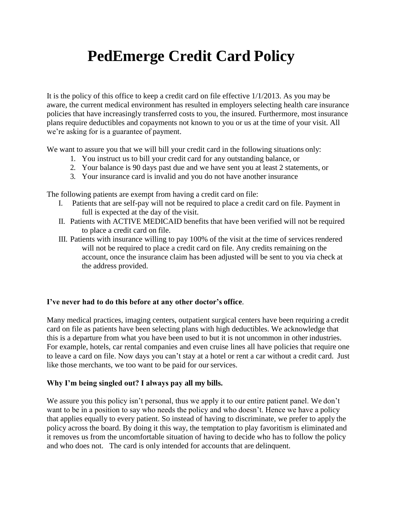# **PedEmerge Credit Card Policy**

It is the policy of this office to keep a credit card on file effective 1/1/2013. As you may be aware, the current medical environment has resulted in employers selecting health care insurance policies that have increasingly transferred costs to you, the insured. Furthermore, most insurance plans require deductibles and copayments not known to you or us at the time of your visit. All we're asking for is a guarantee of payment.

We want to assure you that we will bill your credit card in the following situations only:

- 1. You instruct us to bill your credit card for any outstanding balance, or
- 2. Your balance is 90 days past due and we have sent you at least 2 statements, or
- 3. Your insurance card is invalid and you do not have another insurance

The following patients are exempt from having a credit card on file:

- I. Patients that are self-pay will not be required to place a credit card on file. Payment in full is expected at the day of the visit.
- II. Patients with ACTIVE MEDICAID benefits that have been verified will not be required to place a credit card on file.
- III. Patients with insurance willing to pay 100% of the visit at the time of services rendered will not be required to place a credit card on file. Any credits remaining on the account, once the insurance claim has been adjusted will be sent to you via check at the address provided.

# **I've never had to do this before at any other doctor's office**.

Many medical practices, imaging centers, outpatient surgical centers have been requiring a credit card on file as patients have been selecting plans with high deductibles. We acknowledge that this is a departure from what you have been used to but it is not uncommon in other industries. For example, hotels, car rental companies and even cruise lines all have policies that require one to leave a card on file. Now days you can't stay at a hotel or rent a car without a credit card. Just like those merchants, we too want to be paid for our services.

# **Why I'm being singled out? I always pay all my bills.**

We assure you this policy isn't personal, thus we apply it to our entire patient panel. We don't want to be in a position to say who needs the policy and who doesn't. Hence we have a policy that applies equally to every patient. So instead of having to discriminate, we prefer to apply the policy across the board. By doing it this way, the temptation to play favoritism is eliminated and it removes us from the uncomfortable situation of having to decide who has to follow the policy and who does not. The card is only intended for accounts that are delinquent.